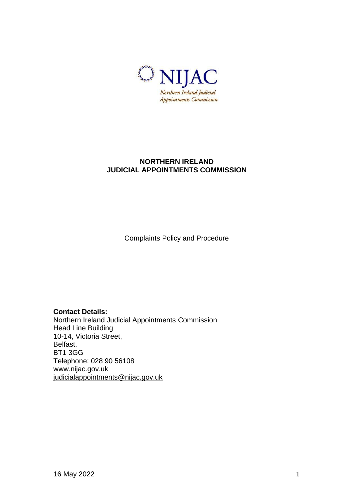

# **NORTHERN IRELAND JUDICIAL APPOINTMENTS COMMISSION**

Complaints Policy and Procedure

## **Contact Details:**

Northern Ireland Judicial Appointments Commission Head Line Building 10-14, Victoria Street, Belfast, BT1 3GG Telephone: 028 90 56108 www.nijac.gov.uk [judicialappointments@nijac.gov.uk](mailto:judicialappointments@nijac.gov.uk)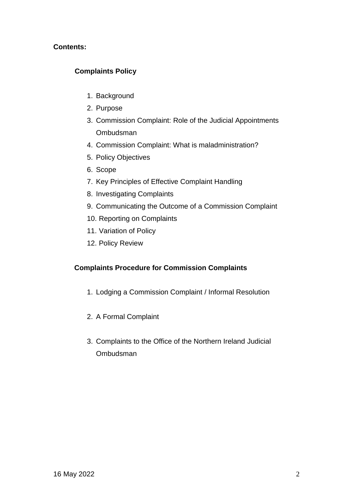## **Contents:**

# **Complaints Policy**

- 1. Background
- 2. Purpose
- 3. Commission Complaint: Role of the Judicial Appointments Ombudsman
- 4. Commission Complaint: What is maladministration?
- 5. Policy Objectives
- 6. Scope
- 7. Key Principles of Effective Complaint Handling
- 8. Investigating Complaints
- 9. Communicating the Outcome of a Commission Complaint
- 10. Reporting on Complaints
- 11. Variation of Policy
- 12. Policy Review

## **Complaints Procedure for Commission Complaints**

- 1. Lodging a Commission Complaint / Informal Resolution
- 2. A Formal Complaint
- 3. Complaints to the Office of the Northern Ireland Judicial Ombudsman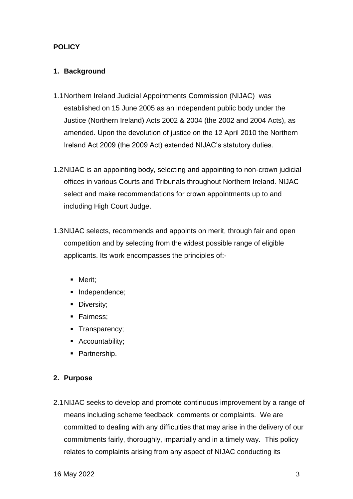# **POLICY**

## **1. Background**

- 1.1Northern Ireland Judicial Appointments Commission (NIJAC) was established on 15 June 2005 as an independent public body under the Justice (Northern Ireland) Acts 2002 & 2004 (the 2002 and 2004 Acts), as amended. Upon the devolution of justice on the 12 April 2010 the Northern Ireland Act 2009 (the 2009 Act) extended NIJAC's statutory duties.
- 1.2NIJAC is an appointing body, selecting and appointing to non-crown judicial offices in various Courts and Tribunals throughout Northern Ireland. NIJAC select and make recommendations for crown appointments up to and including High Court Judge.
- 1.3NIJAC selects, recommends and appoints on merit, through fair and open competition and by selecting from the widest possible range of eligible applicants. Its work encompasses the principles of:-
	- Merit;
	- Independence;
	- **Diversity;**
	- **Fairness:**
	- **Transparency;**
	- **Accountability;**
	- Partnership.

## **2. Purpose**

2.1NIJAC seeks to develop and promote continuous improvement by a range of means including scheme feedback, comments or complaints. We are committed to dealing with any difficulties that may arise in the delivery of our commitments fairly, thoroughly, impartially and in a timely way. This policy relates to complaints arising from any aspect of NIJAC conducting its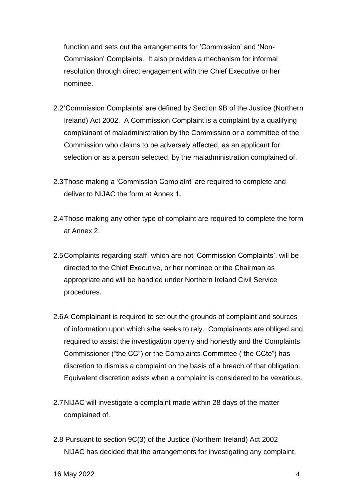function and sets out the arrangements for 'Commission' and 'Non-Commission' Complaints. It also provides a mechanism for informal resolution through direct engagement with the Chief Executive or her nominee.

- 2.2'Commission Complaints' are defined by Section 9B of the Justice (Northern Ireland) Act 2002. A Commission Complaint is a complaint by a qualifying complainant of maladministration by the Commission or a committee of the Commission who claims to be adversely affected, as an applicant for selection or as a person selected, by the maladministration complained of.
- 2.3Those making a 'Commission Complaint' are required to complete and deliver to NIJAC the form at Annex 1.
- 2.4Those making any other type of complaint are required to complete the form at Annex 2.
- 2.5Complaints regarding staff, which are not 'Commission Complaints', will be directed to the Chief Executive, or her nominee or the Chairman as appropriate and will be handled under Northern Ireland Civil Service procedures.
- 2.6A Complainant is required to set out the grounds of complaint and sources of information upon which s/he seeks to rely. Complainants are obliged and required to assist the investigation openly and honestly and the Complaints Commissioner ("the CC") or the Complaints Committee ("the CCte") has discretion to dismiss a complaint on the basis of a breach of that obligation. Equivalent discretion exists when a complaint is considered to be vexatious.
- 2.7NIJAC will investigate a complaint made within 28 days of the matter complained of.
- 2.8 Pursuant to section 9C(3) of the Justice (Northern Ireland) Act 2002 NIJAC has decided that the arrangements for investigating any complaint,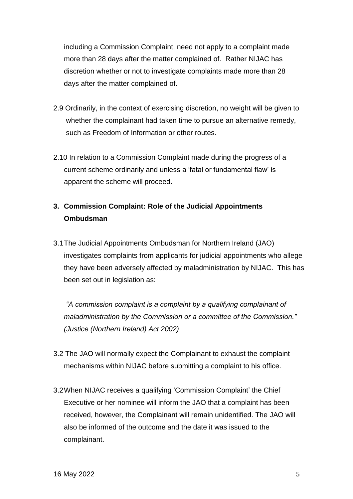including a Commission Complaint, need not apply to a complaint made more than 28 days after the matter complained of. Rather NIJAC has discretion whether or not to investigate complaints made more than 28 days after the matter complained of.

- 2.9 Ordinarily, in the context of exercising discretion, no weight will be given to whether the complainant had taken time to pursue an alternative remedy, such as Freedom of Information or other routes.
- 2.10 In relation to a Commission Complaint made during the progress of a current scheme ordinarily and unless a 'fatal or fundamental flaw' is apparent the scheme will proceed.

# **3. Commission Complaint: Role of the Judicial Appointments Ombudsman**

3.1The Judicial Appointments Ombudsman for Northern Ireland (JAO) investigates complaints from applicants for judicial appointments who allege they have been adversely affected by maladministration by NIJAC. This has been set out in legislation as:

*"A commission complaint is a complaint by a qualifying complainant of maladministration by the Commission or a committee of the Commission." (Justice (Northern Ireland) Act 2002)*

- 3.2 The JAO will normally expect the Complainant to exhaust the complaint mechanisms within NIJAC before submitting a complaint to his office.
- 3.2When NIJAC receives a qualifying 'Commission Complaint' the Chief Executive or her nominee will inform the JAO that a complaint has been received, however, the Complainant will remain unidentified. The JAO will also be informed of the outcome and the date it was issued to the complainant.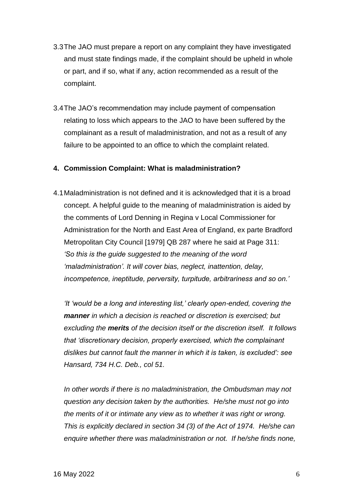- 3.3The JAO must prepare a report on any complaint they have investigated and must state findings made, if the complaint should be upheld in whole or part, and if so, what if any, action recommended as a result of the complaint.
- 3.4The JAO's recommendation may include payment of compensation relating to loss which appears to the JAO to have been suffered by the complainant as a result of maladministration, and not as a result of any failure to be appointed to an office to which the complaint related.

#### **4. Commission Complaint: What is maladministration?**

4.1Maladministration is not defined and it is acknowledged that it is a broad concept. A helpful guide to the meaning of maladministration is aided by the comments of Lord Denning in Regina v Local Commissioner for Administration for the North and East Area of England, ex parte Bradford Metropolitan City Council [1979] QB 287 where he said at Page 311: *'So this is the guide suggested to the meaning of the word 'maladministration'. It will cover bias, neglect, inattention, delay, incompetence, ineptitude, perversity, turpitude, arbitrariness and so on.'*

*'It 'would be a long and interesting list,' clearly open-ended, covering the manner in which a decision is reached or discretion is exercised; but excluding the merits of the decision itself or the discretion itself. It follows that 'discretionary decision, properly exercised, which the complainant dislikes but cannot fault the manner in which it is taken, is excluded': see Hansard, 734 H.C. Deb., col 51.*

*In other words if there is no maladministration, the Ombudsman may not question any decision taken by the authorities. He/she must not go into the merits of it or intimate any view as to whether it was right or wrong. This is explicitly declared in section 34 (3) of the Act of 1974. He/she can enquire whether there was maladministration or not. If he/she finds none,*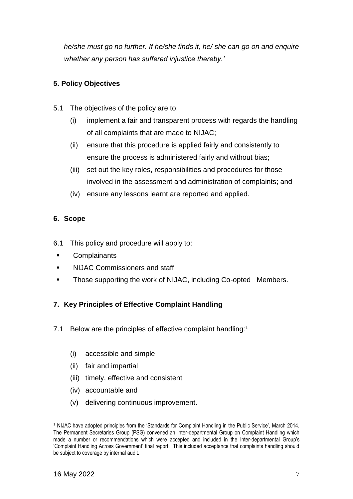*he/she must go no further. If he/she finds it, he/ she can go on and enquire whether any person has suffered injustice thereby.'*

# **5. Policy Objectives**

- 5.1 The objectives of the policy are to:
	- (i) implement a fair and transparent process with regards the handling of all complaints that are made to NIJAC;
	- (ii) ensure that this procedure is applied fairly and consistently to ensure the process is administered fairly and without bias;
	- (iii) set out the key roles, responsibilities and procedures for those involved in the assessment and administration of complaints; and
	- (iv) ensure any lessons learnt are reported and applied.

# **6. Scope**

- 6.1 This policy and procedure will apply to:
- **Complainants**
- NIJAC Commissioners and staff
- **Those supporting the work of NIJAC, including Co-opted Members.**

# **7. Key Principles of Effective Complaint Handling**

- 7.1 Below are the principles of effective complaint handling:<sup>1</sup>
	- (i) accessible and simple
	- (ii) fair and impartial
	- (iii) timely, effective and consistent
	- (iv) accountable and
	- (v) delivering continuous improvement.

1

<sup>&</sup>lt;sup>1</sup> NIJAC have adopted principles from the 'Standards for Complaint Handling in the Public Service', March 2014. The Permanent Secretaries Group (PSG) convened an Inter-departmental Group on Complaint Handling which made a number or recommendations which were accepted and included in the Inter-departmental Group's 'Complaint Handling Across Government' final report. This included acceptance that complaints handling should be subject to coverage by internal audit.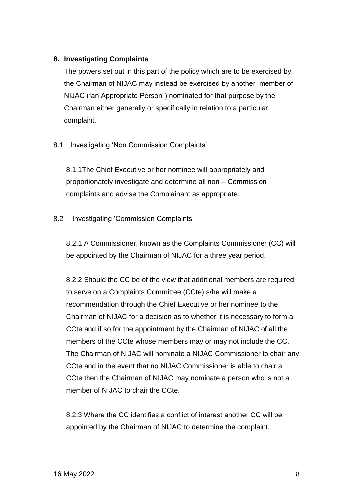#### **8. Investigating Complaints**

The powers set out in this part of the policy which are to be exercised by the Chairman of NIJAC may instead be exercised by another member of NIJAC ("an Appropriate Person") nominated for that purpose by the Chairman either generally or specifically in relation to a particular complaint.

## 8.1 Investigating 'Non Commission Complaints'

8.1.1The Chief Executive or her nominee will appropriately and proportionately investigate and determine all non – Commission complaints and advise the Complainant as appropriate.

## 8.2 Investigating 'Commission Complaints'

8.2.1 A Commissioner, known as the Complaints Commissioner (CC) will be appointed by the Chairman of NIJAC for a three year period.

8.2.2 Should the CC be of the view that additional members are required to serve on a Complaints Committee (CCte) s/he will make a recommendation through the Chief Executive or her nominee to the Chairman of NIJAC for a decision as to whether it is necessary to form a CCte and if so for the appointment by the Chairman of NIJAC of all the members of the CCte whose members may or may not include the CC. The Chairman of NIJAC will nominate a NIJAC Commissioner to chair any CCte and in the event that no NIJAC Commissioner is able to chair a CCte then the Chairman of NIJAC may nominate a person who is not a member of NIJAC to chair the CCte.

8.2.3 Where the CC identifies a conflict of interest another CC will be appointed by the Chairman of NIJAC to determine the complaint.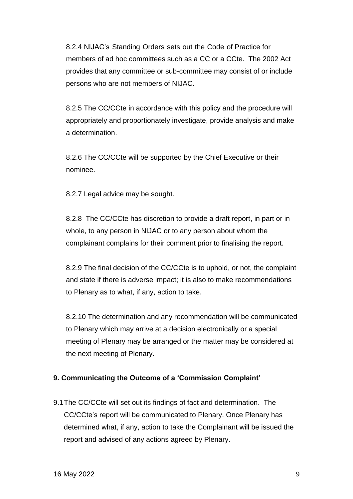8.2.4 NIJAC's Standing Orders sets out the Code of Practice for members of ad hoc committees such as a CC or a CCte. The 2002 Act provides that any committee or sub-committee may consist of or include persons who are not members of NIJAC.

8.2.5 The CC/CCte in accordance with this policy and the procedure will appropriately and proportionately investigate, provide analysis and make a determination.

8.2.6 The CC/CCte will be supported by the Chief Executive or their nominee.

8.2.7 Legal advice may be sought.

8.2.8 The CC/CCte has discretion to provide a draft report, in part or in whole, to any person in NIJAC or to any person about whom the complainant complains for their comment prior to finalising the report.

8.2.9 The final decision of the CC/CCte is to uphold, or not, the complaint and state if there is adverse impact; it is also to make recommendations to Plenary as to what, if any, action to take.

8.2.10 The determination and any recommendation will be communicated to Plenary which may arrive at a decision electronically or a special meeting of Plenary may be arranged or the matter may be considered at the next meeting of Plenary.

## **9. Communicating the Outcome of a 'Commission Complaint'**

9.1The CC/CCte will set out its findings of fact and determination. The CC/CCte's report will be communicated to Plenary. Once Plenary has determined what, if any, action to take the Complainant will be issued the report and advised of any actions agreed by Plenary.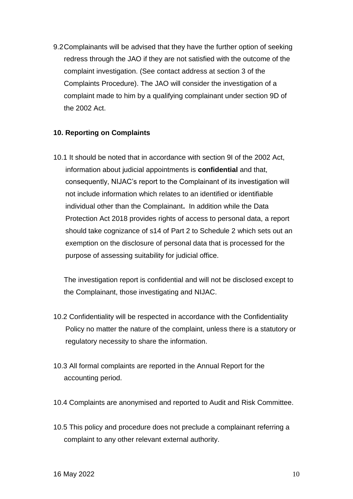9.2Complainants will be advised that they have the further option of seeking redress through the JAO if they are not satisfied with the outcome of the complaint investigation. (See contact address at section 3 of the Complaints Procedure). The JAO will consider the investigation of a complaint made to him by a qualifying complainant under section 9D of the 2002 Act.

#### **10. Reporting on Complaints**

10.1 It should be noted that in accordance with section 9I of the 2002 Act, information about judicial appointments is **confidential** and that, consequently, NIJAC's report to the Complainant of its investigation will not include information which relates to an identified or identifiable individual other than the Complainant**.** In addition while the Data Protection Act 2018 provides rights of access to personal data, a report should take cognizance of s14 of Part 2 to Schedule 2 which sets out an exemption on the disclosure of personal data that is processed for the purpose of assessing suitability for judicial office.

The investigation report is confidential and will not be disclosed except to the Complainant, those investigating and NIJAC.

- 10.2 Confidentiality will be respected in accordance with the Confidentiality Policy no matter the nature of the complaint, unless there is a statutory or regulatory necessity to share the information.
- 10.3 All formal complaints are reported in the Annual Report for the accounting period.
- 10.4 Complaints are anonymised and reported to Audit and Risk Committee.
- 10.5 This policy and procedure does not preclude a complainant referring a complaint to any other relevant external authority.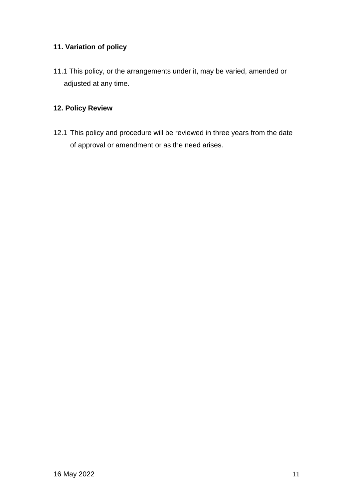# **11. Variation of policy**

11.1 This policy, or the arrangements under it, may be varied, amended or adjusted at any time.

# **12. Policy Review**

12.1 This policy and procedure will be reviewed in three years from the date of approval or amendment or as the need arises.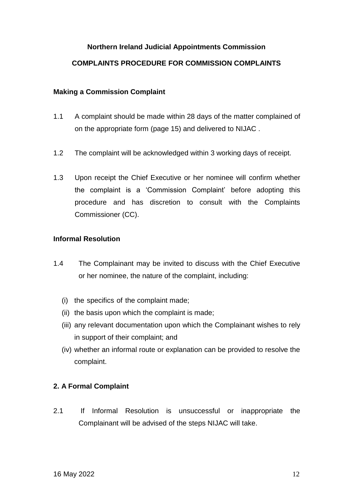## **Northern Ireland Judicial Appointments Commission**

#### **COMPLAINTS PROCEDURE FOR COMMISSION COMPLAINTS**

#### **Making a Commission Complaint**

- 1.1 A complaint should be made within 28 days of the matter complained of on the appropriate form (page 15) and delivered to NIJAC .
- 1.2 The complaint will be acknowledged within 3 working days of receipt.
- 1.3 Upon receipt the Chief Executive or her nominee will confirm whether the complaint is a 'Commission Complaint' before adopting this procedure and has discretion to consult with the Complaints Commissioner (CC).

#### **Informal Resolution**

- 1.4 The Complainant may be invited to discuss with the Chief Executive or her nominee, the nature of the complaint, including:
	- (i) the specifics of the complaint made;
	- (ii) the basis upon which the complaint is made;
	- (iii) any relevant documentation upon which the Complainant wishes to rely in support of their complaint; and
	- (iv) whether an informal route or explanation can be provided to resolve the complaint.

#### **2. A Formal Complaint**

2.1 If Informal Resolution is unsuccessful or inappropriate the Complainant will be advised of the steps NIJAC will take.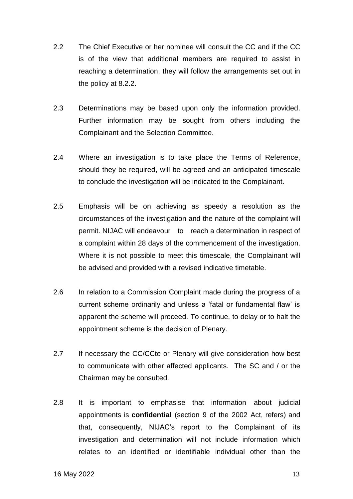- 2.2 The Chief Executive or her nominee will consult the CC and if the CC is of the view that additional members are required to assist in reaching a determination, they will follow the arrangements set out in the policy at 8.2.2.
- 2.3 Determinations may be based upon only the information provided. Further information may be sought from others including the Complainant and the Selection Committee.
- 2.4 Where an investigation is to take place the Terms of Reference, should they be required, will be agreed and an anticipated timescale to conclude the investigation will be indicated to the Complainant.
- 2.5 Emphasis will be on achieving as speedy a resolution as the circumstances of the investigation and the nature of the complaint will permit. NIJAC will endeavour to reach a determination in respect of a complaint within 28 days of the commencement of the investigation. Where it is not possible to meet this timescale, the Complainant will be advised and provided with a revised indicative timetable.
- 2.6 In relation to a Commission Complaint made during the progress of a current scheme ordinarily and unless a 'fatal or fundamental flaw' is apparent the scheme will proceed. To continue, to delay or to halt the appointment scheme is the decision of Plenary.
- 2.7 If necessary the CC/CCte or Plenary will give consideration how best to communicate with other affected applicants. The SC and / or the Chairman may be consulted.
- 2.8 It is important to emphasise that information about judicial appointments is **confidential** (section 9 of the 2002 Act, refers) and that, consequently, NIJAC's report to the Complainant of its investigation and determination will not include information which relates to an identified or identifiable individual other than the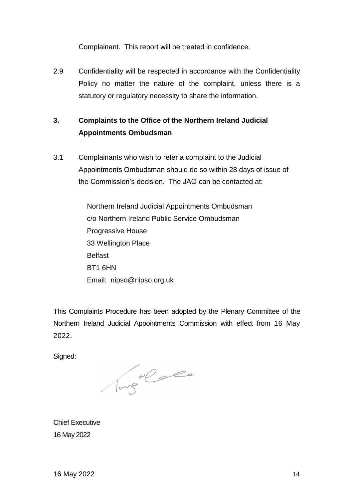Complainant. This report will be treated in confidence.

2.9 Confidentiality will be respected in accordance with the Confidentiality Policy no matter the nature of the complaint, unless there is a statutory or regulatory necessity to share the information.

# **3. Complaints to the Office of the Northern Ireland Judicial Appointments Ombudsman**

3.1 Complainants who wish to refer a complaint to the Judicial Appointments Ombudsman should do so within 28 days of issue of the Commission's decision. The JAO can be contacted at:

> Northern Ireland Judicial Appointments Ombudsman c/o Northern Ireland Public Service Ombudsman Progressive House 33 Wellington Place Belfast BT1 6HN Email: nipso@nipso.org.uk

This Complaints Procedure has been adopted by the Plenary Committee of the Northern Ireland Judicial Appointments Commission with effect from 16 May 2022.

Signed:

Tungalo

Chief Executive 16 May 2022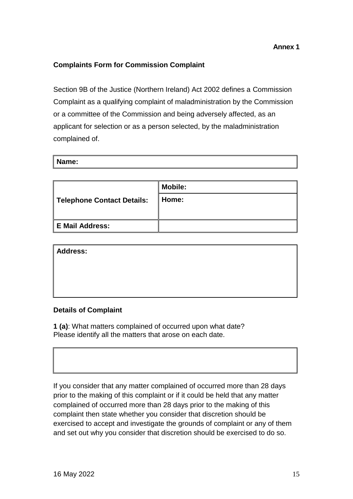## **Complaints Form for Commission Complaint**

Section 9B of the Justice (Northern Ireland) Act 2002 defines a Commission Complaint as a qualifying complaint of maladministration by the Commission or a committee of the Commission and being adversely affected, as an applicant for selection or as a person selected, by the maladministration complained of.

| Name: |  |  |  |
|-------|--|--|--|
|       |  |  |  |

|                            | <b>Mobile:</b> |
|----------------------------|----------------|
| Telephone Contact Details: | Home:          |
|                            |                |
| E Mail Address:            |                |

**Address:**

#### **Details of Complaint**

**1 (a)**: What matters complained of occurred upon what date? Please identify all the matters that arose on each date.

If you consider that any matter complained of occurred more than 28 days prior to the making of this complaint or if it could be held that any matter complained of occurred more than 28 days prior to the making of this complaint then state whether you consider that discretion should be exercised to accept and investigate the grounds of complaint or any of them and set out why you consider that discretion should be exercised to do so.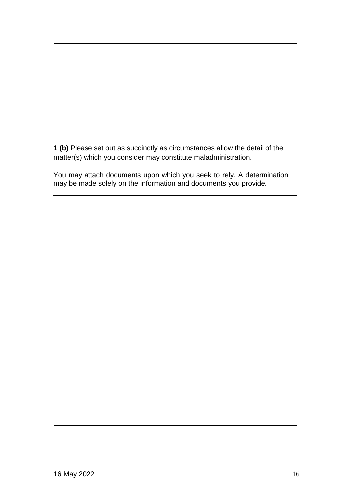**1 (b)** Please set out as succinctly as circumstances allow the detail of the matter(s) which you consider may constitute maladministration.

You may attach documents upon which you seek to rely. A determination may be made solely on the information and documents you provide.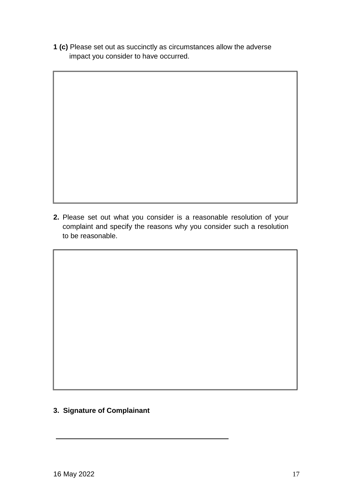**1 (c)** Please set out as succinctly as circumstances allow the adverse impact you consider to have occurred.

**2.** Please set out what you consider is a reasonable resolution of your complaint and specify the reasons why you consider such a resolution to be reasonable.

**3. Signature of Complainant**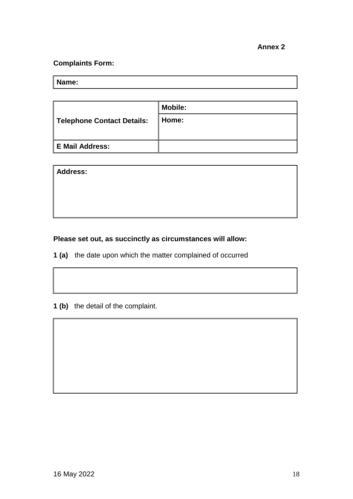# **Complaints Form:**

**Name:**

|                            | <b>Mobile:</b> |
|----------------------------|----------------|
| Telephone Contact Details: | Home:          |
|                            |                |
| E Mail Address:            |                |

| Address: |  |  |  |
|----------|--|--|--|
|          |  |  |  |
|          |  |  |  |
|          |  |  |  |

# **Please set out, as succinctly as circumstances will allow:**

- **1 (a)** the date upon which the matter complained of occurred
- **1 (b)** the detail of the complaint.